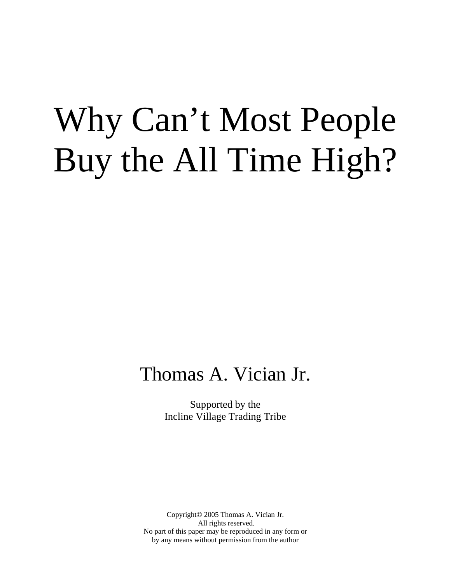# Why Can't Most People Buy the All Time High?

## Thomas A. Vician Jr.

Supported by the Incline Village Trading Tribe

Copyright© 2005 Thomas A. Vician Jr. All rights reserved. No part of this paper may be reproduced in any form or by any means without permission from the author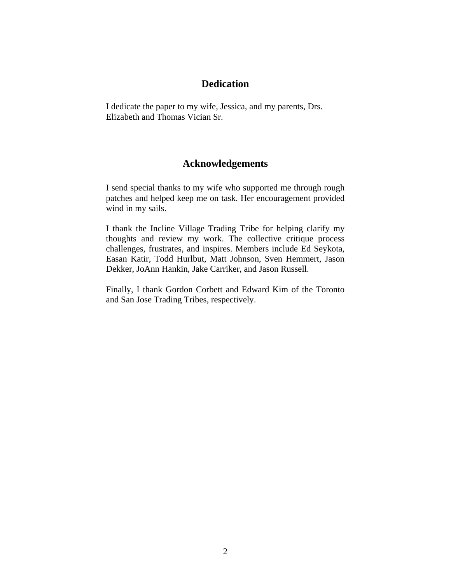#### **Dedication**

I dedicate the paper to my wife, Jessica, and my parents, Drs. Elizabeth and Thomas Vician Sr.

#### **Acknowledgements**

I send special thanks to my wife who supported me through rough patches and helped keep me on task. Her encouragement provided wind in my sails.

I thank the Incline Village Trading Tribe for helping clarify my thoughts and review my work. The collective critique process challenges, frustrates, and inspires. Members include Ed Seykota, Easan Katir, Todd Hurlbut, Matt Johnson, Sven Hemmert, Jason Dekker, JoAnn Hankin, Jake Carriker, and Jason Russell.

Finally, I thank Gordon Corbett and Edward Kim of the Toronto and San Jose Trading Tribes, respectively.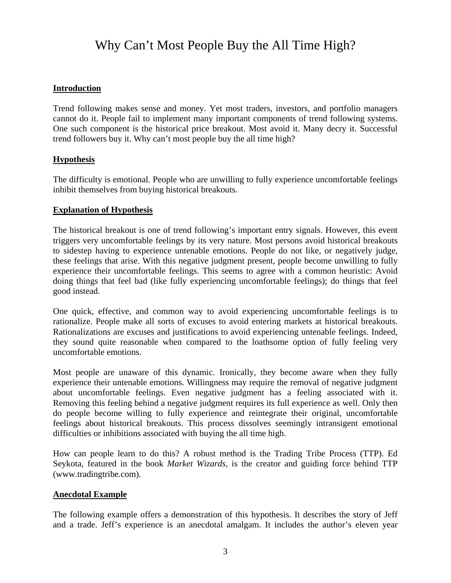### Why Can't Most People Buy the All Time High?

#### **Introduction**

Trend following makes sense and money. Yet most traders, investors, and portfolio managers cannot do it. People fail to implement many important components of trend following systems. One such component is the historical price breakout. Most avoid it. Many decry it. Successful trend followers buy it. Why can't most people buy the all time high?

#### **Hypothesis**

The difficulty is emotional. People who are unwilling to fully experience uncomfortable feelings inhibit themselves from buying historical breakouts.

#### **Explanation of Hypothesis**

The historical breakout is one of trend following's important entry signals. However, this event triggers very uncomfortable feelings by its very nature. Most persons avoid historical breakouts to sidestep having to experience untenable emotions. People do not like, or negatively judge, these feelings that arise. With this negative judgment present, people become unwilling to fully experience their uncomfortable feelings. This seems to agree with a common heuristic: Avoid doing things that feel bad (like fully experiencing uncomfortable feelings); do things that feel good instead.

One quick, effective, and common way to avoid experiencing uncomfortable feelings is to rationalize. People make all sorts of excuses to avoid entering markets at historical breakouts. Rationalizations are excuses and justifications to avoid experiencing untenable feelings. Indeed, they sound quite reasonable when compared to the loathsome option of fully feeling very uncomfortable emotions.

Most people are unaware of this dynamic. Ironically, they become aware when they fully experience their untenable emotions. Willingness may require the removal of negative judgment about uncomfortable feelings. Even negative judgment has a feeling associated with it. Removing this feeling behind a negative judgment requires its full experience as well. Only then do people become willing to fully experience and reintegrate their original, uncomfortable feelings about historical breakouts. This process dissolves seemingly intransigent emotional difficulties or inhibitions associated with buying the all time high.

How can people learn to do this? A robust method is the Trading Tribe Process (TTP). Ed Seykota, featured in the book *Market Wizards*, is the creator and guiding force behind TTP (www.tradingtribe.com).

#### **Anecdotal Example**

The following example offers a demonstration of this hypothesis. It describes the story of Jeff and a trade. Jeff's experience is an anecdotal amalgam. It includes the author's eleven year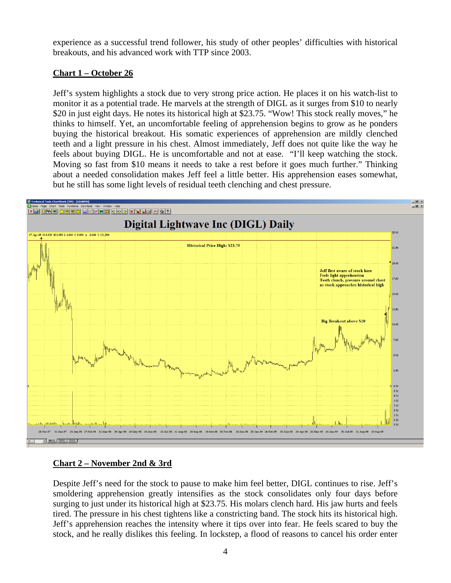experience as a successful trend follower, his study of other peoples' difficulties with historical breakouts, and his advanced work with TTP since 2003.

#### **Chart 1 – October 26**

Jeff's system highlights a stock due to very strong price action. He places it on his watch-list to monitor it as a potential trade. He marvels at the strength of DIGL as it surges from \$10 to nearly \$20 in just eight days. He notes its historical high at \$23.75. "Wow! This stock really moves," he thinks to himself. Yet, an uncomfortable feeling of apprehension begins to grow as he ponders buying the historical breakout. His somatic experiences of apprehension are mildly clenched teeth and a light pressure in his chest. Almost immediately, Jeff does not quite like the way he feels about buying DIGL. He is uncomfortable and not at ease. "I'll keep watching the stock. Moving so fast from \$10 means it needs to take a rest before it goes much further." Thinking about a needed consolidation makes Jeff feel a little better. His apprehension eases somewhat, but he still has some light levels of residual teeth clenching and chest pressure.



#### **Chart 2 – November 2nd & 3rd**

Despite Jeff's need for the stock to pause to make him feel better, DIGL continues to rise. Jeff's smoldering apprehension greatly intensifies as the stock consolidates only four days before surging to just under its historical high at \$23.75. His molars clench hard. His jaw hurts and feels tired. The pressure in his chest tightens like a constricting band. The stock hits its historical high. Jeff's apprehension reaches the intensity where it tips over into fear. He feels scared to buy the stock, and he really dislikes this feeling. In lockstep, a flood of reasons to cancel his order enter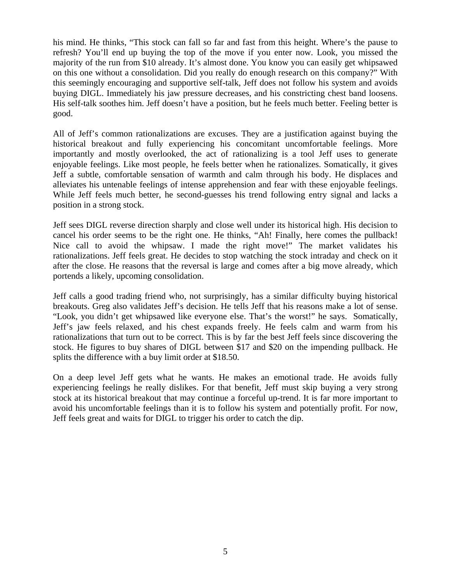his mind. He thinks, "This stock can fall so far and fast from this height. Where's the pause to refresh? You'll end up buying the top of the move if you enter now. Look, you missed the majority of the run from \$10 already. It's almost done. You know you can easily get whipsawed on this one without a consolidation. Did you really do enough research on this company?" With this seemingly encouraging and supportive self-talk, Jeff does not follow his system and avoids buying DIGL. Immediately his jaw pressure decreases, and his constricting chest band loosens. His self-talk soothes him. Jeff doesn't have a position, but he feels much better. Feeling better is good.

All of Jeff's common rationalizations are excuses. They are a justification against buying the historical breakout and fully experiencing his concomitant uncomfortable feelings. More importantly and mostly overlooked, the act of rationalizing is a tool Jeff uses to generate enjoyable feelings. Like most people, he feels better when he rationalizes. Somatically, it gives Jeff a subtle, comfortable sensation of warmth and calm through his body. He displaces and alleviates his untenable feelings of intense apprehension and fear with these enjoyable feelings. While Jeff feels much better, he second-guesses his trend following entry signal and lacks a position in a strong stock.

Jeff sees DIGL reverse direction sharply and close well under its historical high. His decision to cancel his order seems to be the right one. He thinks, "Ah! Finally, here comes the pullback! Nice call to avoid the whipsaw. I made the right move!" The market validates his rationalizations. Jeff feels great. He decides to stop watching the stock intraday and check on it after the close. He reasons that the reversal is large and comes after a big move already, which portends a likely, upcoming consolidation.

Jeff calls a good trading friend who, not surprisingly, has a similar difficulty buying historical breakouts. Greg also validates Jeff's decision. He tells Jeff that his reasons make a lot of sense. "Look, you didn't get whipsawed like everyone else. That's the worst!" he says. Somatically, Jeff's jaw feels relaxed, and his chest expands freely. He feels calm and warm from his rationalizations that turn out to be correct. This is by far the best Jeff feels since discovering the stock. He figures to buy shares of DIGL between \$17 and \$20 on the impending pullback. He splits the difference with a buy limit order at \$18.50.

On a deep level Jeff gets what he wants. He makes an emotional trade. He avoids fully experiencing feelings he really dislikes. For that benefit, Jeff must skip buying a very strong stock at its historical breakout that may continue a forceful up-trend. It is far more important to avoid his uncomfortable feelings than it is to follow his system and potentially profit. For now, Jeff feels great and waits for DIGL to trigger his order to catch the dip.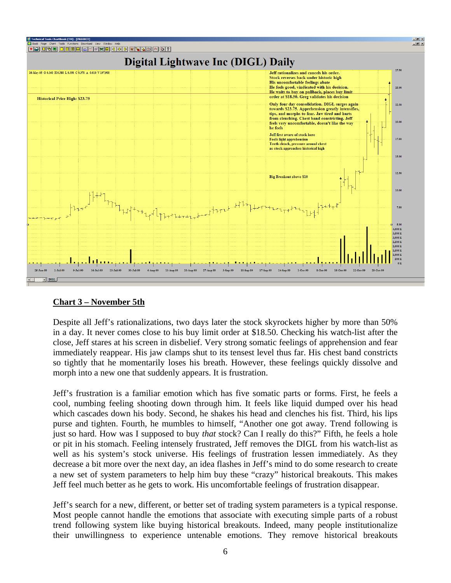

#### **Chart 3 – November 5th**

Despite all Jeff's rationalizations, two days later the stock skyrockets higher by more than 50% in a day. It never comes close to his buy limit order at \$18.50. Checking his watch-list after the close, Jeff stares at his screen in disbelief. Very strong somatic feelings of apprehension and fear immediately reappear. His jaw clamps shut to its tensest level thus far. His chest band constricts so tightly that he momentarily loses his breath. However, these feelings quickly dissolve and morph into a new one that suddenly appears. It is frustration.

Jeff's frustration is a familiar emotion which has five somatic parts or forms. First, he feels a cool, numbing feeling shooting down through him. It feels like liquid dumped over his head which cascades down his body. Second, he shakes his head and clenches his fist. Third, his lips purse and tighten. Fourth, he mumbles to himself, "Another one got away. Trend following is just so hard. How was I supposed to buy *that* stock? Can I really do this?" Fifth, he feels a hole or pit in his stomach. Feeling intensely frustrated, Jeff removes the DIGL from his watch-list as well as his system's stock universe. His feelings of frustration lessen immediately. As they decrease a bit more over the next day, an idea flashes in Jeff's mind to do some research to create a new set of system parameters to help him buy these "crazy" historical breakouts. This makes Jeff feel much better as he gets to work. His uncomfortable feelings of frustration disappear.

Jeff's search for a new, different, or better set of trading system parameters is a typical response. Most people cannot handle the emotions that associate with executing simple parts of a robust trend following system like buying historical breakouts. Indeed, many people institutionalize their unwillingness to experience untenable emotions. They remove historical breakouts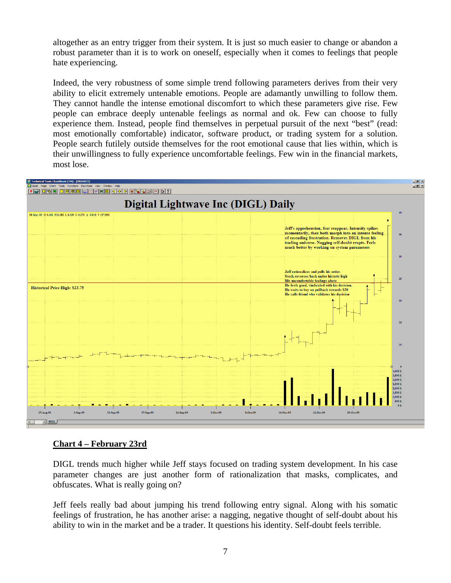altogether as an entry trigger from their system. It is just so much easier to change or abandon a robust parameter than it is to work on oneself, especially when it comes to feelings that people hate experiencing.

Indeed, the very robustness of some simple trend following parameters derives from their very ability to elicit extremely untenable emotions. People are adamantly unwilling to follow them. They cannot handle the intense emotional discomfort to which these parameters give rise. Few people can embrace deeply untenable feelings as normal and ok. Few can choose to fully experience them. Instead, people find themselves in perpetual pursuit of the next "best" (read: most emotionally comfortable) indicator, software product, or trading system for a solution. People search futilely outside themselves for the root emotional cause that lies within, which is their unwillingness to fully experience uncomfortable feelings. Few win in the financial markets, most lose.



#### **Chart 4 – February 23rd**

DIGL trends much higher while Jeff stays focused on trading system development. In his case parameter changes are just another form of rationalization that masks, complicates, and obfuscates. What is really going on?

Jeff feels really bad about jumping his trend following entry signal. Along with his somatic feelings of frustration, he has another arise: a nagging, negative thought of self-doubt about his ability to win in the market and be a trader. It questions his identity. Self-doubt feels terrible.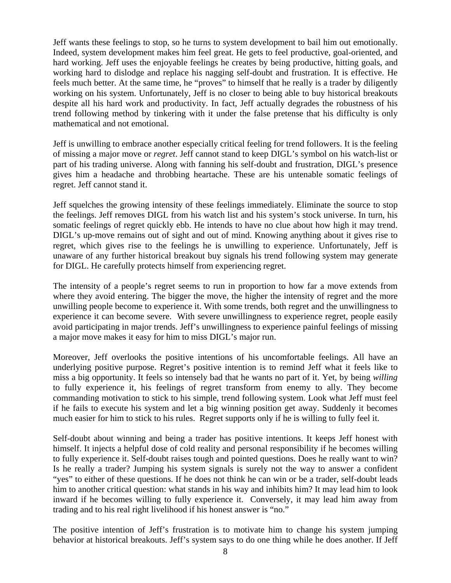Jeff wants these feelings to stop, so he turns to system development to bail him out emotionally. Indeed, system development makes him feel great. He gets to feel productive, goal-oriented, and hard working. Jeff uses the enjoyable feelings he creates by being productive, hitting goals, and working hard to dislodge and replace his nagging self-doubt and frustration. It is effective. He feels much better. At the same time, he "proves" to himself that he really is a trader by diligently working on his system. Unfortunately, Jeff is no closer to being able to buy historical breakouts despite all his hard work and productivity. In fact, Jeff actually degrades the robustness of his trend following method by tinkering with it under the false pretense that his difficulty is only mathematical and not emotional.

Jeff is unwilling to embrace another especially critical feeling for trend followers. It is the feeling of missing a major move or *regret*. Jeff cannot stand to keep DIGL's symbol on his watch-list or part of his trading universe. Along with fanning his self-doubt and frustration, DIGL's presence gives him a headache and throbbing heartache. These are his untenable somatic feelings of regret. Jeff cannot stand it.

Jeff squelches the growing intensity of these feelings immediately. Eliminate the source to stop the feelings. Jeff removes DIGL from his watch list and his system's stock universe. In turn, his somatic feelings of regret quickly ebb. He intends to have no clue about how high it may trend. DIGL's up-move remains out of sight and out of mind. Knowing anything about it gives rise to regret, which gives rise to the feelings he is unwilling to experience. Unfortunately, Jeff is unaware of any further historical breakout buy signals his trend following system may generate for DIGL. He carefully protects himself from experiencing regret.

The intensity of a people's regret seems to run in proportion to how far a move extends from where they avoid entering. The bigger the move, the higher the intensity of regret and the more unwilling people become to experience it. With some trends, both regret and the unwillingness to experience it can become severe. With severe unwillingness to experience regret, people easily avoid participating in major trends. Jeff's unwillingness to experience painful feelings of missing a major move makes it easy for him to miss DIGL's major run.

Moreover, Jeff overlooks the positive intentions of his uncomfortable feelings. All have an underlying positive purpose. Regret's positive intention is to remind Jeff what it feels like to miss a big opportunity. It feels so intensely bad that he wants no part of it. Yet, by being *willing* to fully experience it, his feelings of regret transform from enemy to ally. They become commanding motivation to stick to his simple, trend following system. Look what Jeff must feel if he fails to execute his system and let a big winning position get away. Suddenly it becomes much easier for him to stick to his rules. Regret supports only if he is willing to fully feel it.

Self-doubt about winning and being a trader has positive intentions. It keeps Jeff honest with himself. It injects a helpful dose of cold reality and personal responsibility if he becomes willing to fully experience it. Self-doubt raises tough and pointed questions. Does he really want to win? Is he really a trader? Jumping his system signals is surely not the way to answer a confident "yes" to either of these questions. If he does not think he can win or be a trader, self-doubt leads him to another critical question: what stands in his way and inhibits him? It may lead him to look inward if he becomes willing to fully experience it. Conversely, it may lead him away from trading and to his real right livelihood if his honest answer is "no."

The positive intention of Jeff's frustration is to motivate him to change his system jumping behavior at historical breakouts. Jeff's system says to do one thing while he does another. If Jeff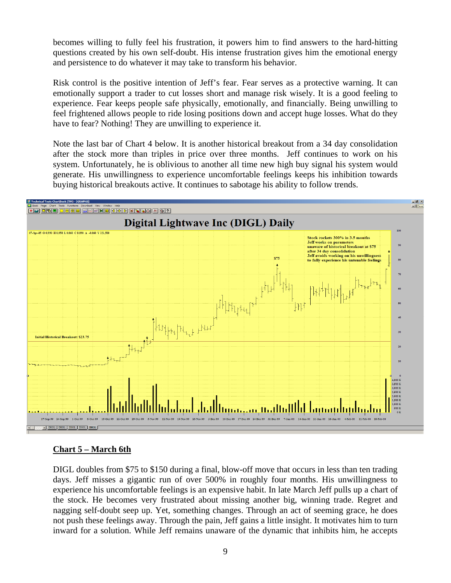becomes willing to fully feel his frustration, it powers him to find answers to the hard-hitting questions created by his own self-doubt. His intense frustration gives him the emotional energy and persistence to do whatever it may take to transform his behavior.

Risk control is the positive intention of Jeff's fear. Fear serves as a protective warning. It can emotionally support a trader to cut losses short and manage risk wisely. It is a good feeling to experience. Fear keeps people safe physically, emotionally, and financially. Being unwilling to feel frightened allows people to ride losing positions down and accept huge losses. What do they have to fear? Nothing! They are unwilling to experience it.

Note the last bar of Chart 4 below. It is another historical breakout from a 34 day consolidation after the stock more than triples in price over three months. Jeff continues to work on his system. Unfortunately, he is oblivious to another all time new high buy signal his system would generate. His unwillingness to experience uncomfortable feelings keeps his inhibition towards buying historical breakouts active. It continues to sabotage his ability to follow trends.



#### **Chart 5 – March 6th**

DIGL doubles from \$75 to \$150 during a final, blow-off move that occurs in less than ten trading days. Jeff misses a gigantic run of over 500% in roughly four months. His unwillingness to experience his uncomfortable feelings is an expensive habit. In late March Jeff pulls up a chart of the stock. He becomes very frustrated about missing another big, winning trade. Regret and nagging self-doubt seep up. Yet, something changes. Through an act of seeming grace, he does not push these feelings away. Through the pain, Jeff gains a little insight. It motivates him to turn inward for a solution. While Jeff remains unaware of the dynamic that inhibits him, he accepts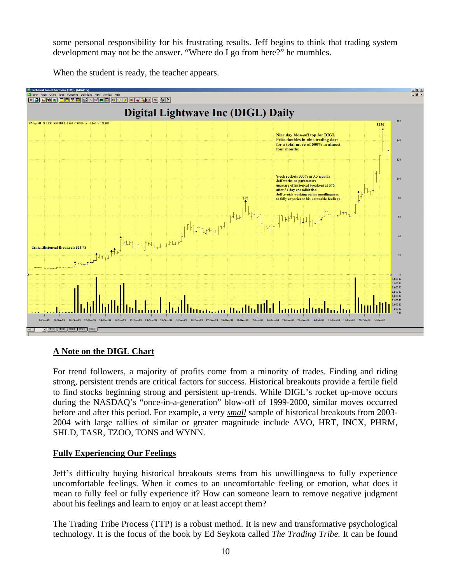some personal responsibility for his frustrating results. Jeff begins to think that trading system development may not be the answer. "Where do I go from here?" he mumbles.

When the student is ready, the teacher appears.



#### **A Note on the DIGL Chart**

For trend followers, a majority of profits come from a minority of trades. Finding and riding strong, persistent trends are critical factors for success. Historical breakouts provide a fertile field to find stocks beginning strong and persistent up-trends. While DIGL's rocket up-move occurs during the NASDAQ's "once-in-a-generation" blow-off of 1999-2000, similar moves occurred before and after this period. For example, a very *small* sample of historical breakouts from 2003- 2004 with large rallies of similar or greater magnitude include AVO, HRT, INCX, PHRM, SHLD, TASR, TZOO, TONS and WYNN.

#### **Fully Experiencing Our Feelings**

Jeff's difficulty buying historical breakouts stems from his unwillingness to fully experience uncomfortable feelings. When it comes to an uncomfortable feeling or emotion, what does it mean to fully feel or fully experience it? How can someone learn to remove negative judgment about his feelings and learn to enjoy or at least accept them?

The Trading Tribe Process (TTP) is a robust method. It is new and transformative psychological technology. It is the focus of the book by Ed Seykota called *The Trading Tribe.* It can be found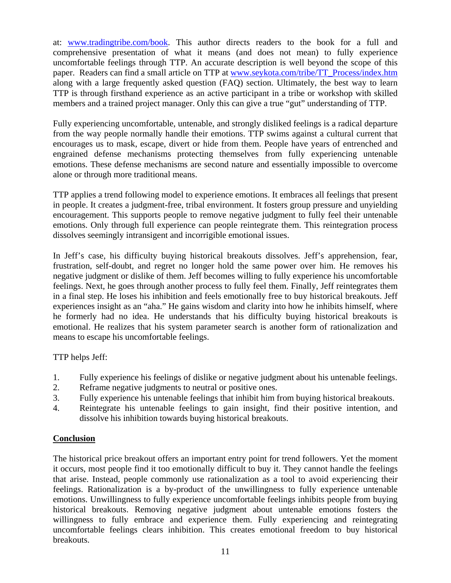at: [www.tradingtribe.com/book](http://www.tradingtribe.com/book). This author directs readers to the book for a full and comprehensive presentation of what it means (and does not mean) to fully experience uncomfortable feelings through TTP. An accurate description is well beyond the scope of this paper. Readers can find a small article on TTP at [www.seykota.com/tribe/TT\\_Process/index.htm](http://www.seykota.com/tribe/TT_Process/index.htm) along with a large frequently asked question (FAQ) section. Ultimately, the best way to learn TTP is through firsthand experience as an active participant in a tribe or workshop with skilled members and a trained project manager. Only this can give a true "gut" understanding of TTP.

Fully experiencing uncomfortable, untenable, and strongly disliked feelings is a radical departure from the way people normally handle their emotions. TTP swims against a cultural current that encourages us to mask, escape, divert or hide from them. People have years of entrenched and engrained defense mechanisms protecting themselves from fully experiencing untenable emotions. These defense mechanisms are second nature and essentially impossible to overcome alone or through more traditional means.

TTP applies a trend following model to experience emotions. It embraces all feelings that present in people. It creates a judgment-free, tribal environment. It fosters group pressure and unyielding encouragement. This supports people to remove negative judgment to fully feel their untenable emotions. Only through full experience can people reintegrate them. This reintegration process dissolves seemingly intransigent and incorrigible emotional issues.

In Jeff's case, his difficulty buying historical breakouts dissolves. Jeff's apprehension, fear, frustration, self-doubt, and regret no longer hold the same power over him. He removes his negative judgment or dislike of them. Jeff becomes willing to fully experience his uncomfortable feelings. Next, he goes through another process to fully feel them. Finally, Jeff reintegrates them in a final step. He loses his inhibition and feels emotionally free to buy historical breakouts. Jeff experiences insight as an "aha." He gains wisdom and clarity into how he inhibits himself, where he formerly had no idea. He understands that his difficulty buying historical breakouts is emotional. He realizes that his system parameter search is another form of rationalization and means to escape his uncomfortable feelings.

TTP helps Jeff:

- 1. Fully experience his feelings of dislike or negative judgment about his untenable feelings.
- 2. Reframe negative judgments to neutral or positive ones.
- 3. Fully experience his untenable feelings that inhibit him from buying historical breakouts.
- 4. Reintegrate his untenable feelings to gain insight, find their positive intention, and dissolve his inhibition towards buying historical breakouts.

#### **Conclusion**

The historical price breakout offers an important entry point for trend followers. Yet the moment it occurs, most people find it too emotionally difficult to buy it. They cannot handle the feelings that arise. Instead, people commonly use rationalization as a tool to avoid experiencing their feelings. Rationalization is a by-product of the unwillingness to fully experience untenable emotions. Unwillingness to fully experience uncomfortable feelings inhibits people from buying historical breakouts. Removing negative judgment about untenable emotions fosters the willingness to fully embrace and experience them. Fully experiencing and reintegrating uncomfortable feelings clears inhibition. This creates emotional freedom to buy historical breakouts.